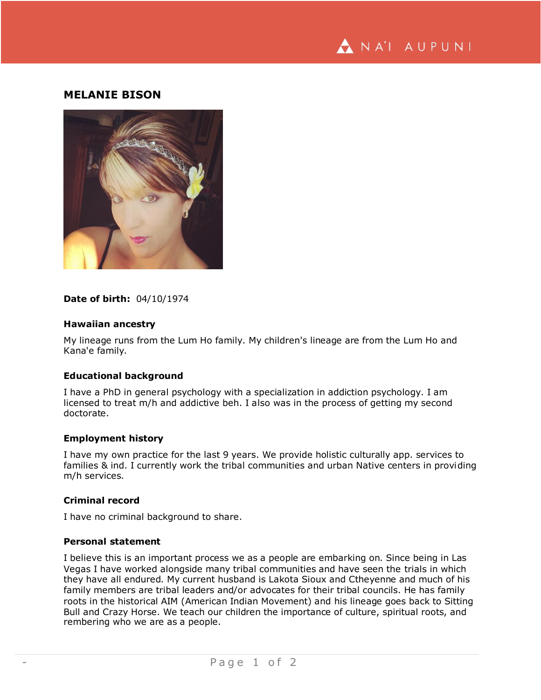

# **MELANIE BISON**



## **Date of birth:** 04/10/1974

## **Hawaiian ancestry**

My lineage runs from the Lum Ho family. My children's lineage are from the Lum Ho and Kana'e family.

### **Educational background**

I have a PhD in general psychology with a specialization in addiction psychology. I am licensed to treat m/h and addictive beh. I also was in the process of getting my second doctorate.

#### **Employment history**

I have my own practice for the last 9 years. We provide holistic culturally app. services to families & ind. I currently work the tribal communities and urban Native centers in providing m/h services.

## **Criminal record**

I have no criminal background to share.

### **Personal statement**

I believe this is an important process we as a people are embarking on. Since being in Las Vegas I have worked alongside many tribal communities and have seen the trials in which they have all endured. My current husband is Lakota Sioux and Ctheyenne and much of his family members are tribal leaders and/or advocates for their tribal councils. He has family roots in the historical AIM (American Indian Movement) and his lineage goes back to Sitting Bull and Crazy Horse. We teach our children the importance of culture, spiritual roots, and rembering who we are as a people.